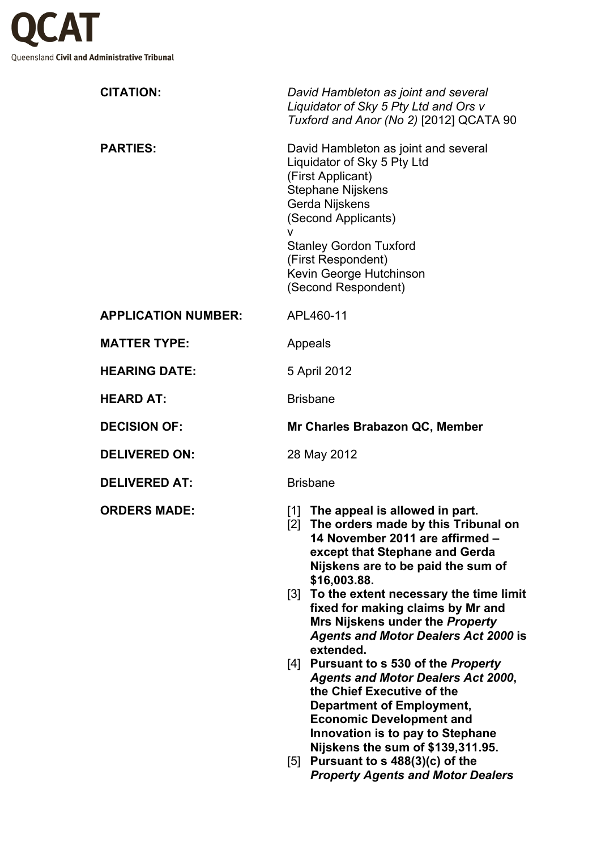

| <b>CITATION:</b>           | David Hambleton as joint and several<br>Liquidator of Sky 5 Pty Ltd and Ors v<br>Tuxford and Anor (No 2) [2012] QCATA 90                                                                                                                                                                                                                                                                                                                                                                                                                                                                                                                                                                                                        |
|----------------------------|---------------------------------------------------------------------------------------------------------------------------------------------------------------------------------------------------------------------------------------------------------------------------------------------------------------------------------------------------------------------------------------------------------------------------------------------------------------------------------------------------------------------------------------------------------------------------------------------------------------------------------------------------------------------------------------------------------------------------------|
| <b>PARTIES:</b>            | David Hambleton as joint and several<br>Liquidator of Sky 5 Pty Ltd<br>(First Applicant)<br><b>Stephane Nijskens</b><br>Gerda Nijskens<br>(Second Applicants)<br>$\mathsf{V}$<br><b>Stanley Gordon Tuxford</b><br>(First Respondent)<br>Kevin George Hutchinson<br>(Second Respondent)                                                                                                                                                                                                                                                                                                                                                                                                                                          |
| <b>APPLICATION NUMBER:</b> | APL460-11                                                                                                                                                                                                                                                                                                                                                                                                                                                                                                                                                                                                                                                                                                                       |
| <b>MATTER TYPE:</b>        | Appeals                                                                                                                                                                                                                                                                                                                                                                                                                                                                                                                                                                                                                                                                                                                         |
| <b>HEARING DATE:</b>       | 5 April 2012                                                                                                                                                                                                                                                                                                                                                                                                                                                                                                                                                                                                                                                                                                                    |
| <b>HEARD AT:</b>           | <b>Brisbane</b>                                                                                                                                                                                                                                                                                                                                                                                                                                                                                                                                                                                                                                                                                                                 |
| <b>DECISION OF:</b>        | Mr Charles Brabazon QC, Member                                                                                                                                                                                                                                                                                                                                                                                                                                                                                                                                                                                                                                                                                                  |
| <b>DELIVERED ON:</b>       | 28 May 2012                                                                                                                                                                                                                                                                                                                                                                                                                                                                                                                                                                                                                                                                                                                     |
| <b>DELIVERED AT:</b>       | <b>Brisbane</b>                                                                                                                                                                                                                                                                                                                                                                                                                                                                                                                                                                                                                                                                                                                 |
| <b>ORDERS MADE:</b>        | [1] The appeal is allowed in part.<br>The orders made by this Tribunal on<br>$\lceil 2 \rceil$<br>14 November 2011 are affirmed –<br>except that Stephane and Gerda<br>Nijskens are to be paid the sum of<br>\$16,003.88.<br>To the extent necessary the time limit<br>[3]<br>fixed for making claims by Mr and<br>Mrs Nijskens under the Property<br><b>Agents and Motor Dealers Act 2000 is</b><br>extended.<br>[4] Pursuant to s 530 of the <i>Property</i><br><b>Agents and Motor Dealers Act 2000,</b><br>the Chief Executive of the<br><b>Department of Employment,</b><br><b>Economic Development and</b><br>Innovation is to pay to Stephane<br>Nijskens the sum of \$139,311.95.<br>$100/21/2 =$<br>$E1 \quad B \quad$ |

[5] **Pursuant to s 488(3)(c) of the**  *Property Agents and Motor Dealers*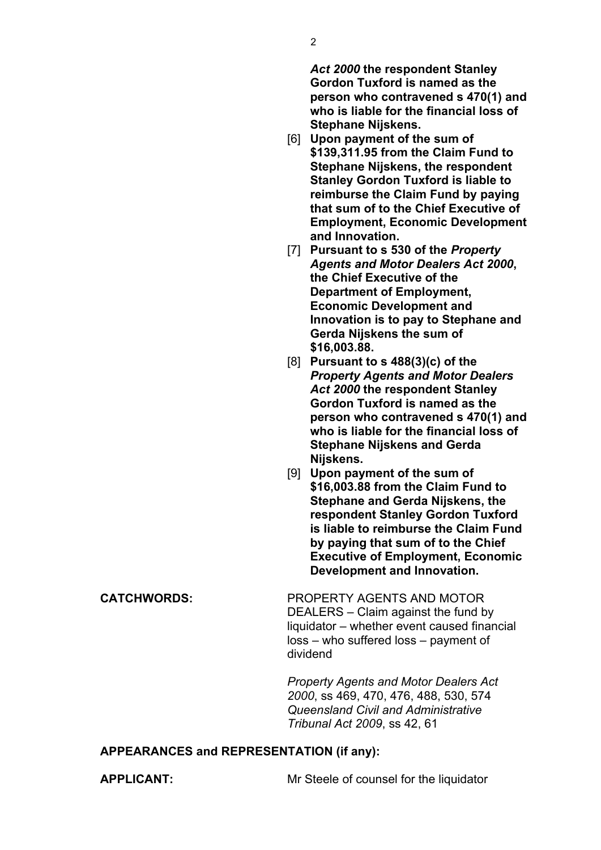*Act 2000* **the respondent Stanley Gordon Tuxford is named as the person who contravened s 470(1) and who is liable for the financial loss of Stephane Nijskens.**

- [6] **Upon payment of the sum of \$139,311.95 from the Claim Fund to Stephane Nijskens, the respondent Stanley Gordon Tuxford is liable to reimburse the Claim Fund by paying that sum of to the Chief Executive of Employment, Economic Development and Innovation.**
- [7] **Pursuant to s 530 of the** *Property Agents and Motor Dealers Act 2000***, the Chief Executive of the Department of Employment, Economic Development and Innovation is to pay to Stephane and Gerda Nijskens the sum of \$16,003.88.**
- [8] **Pursuant to s 488(3)(c) of the**  *Property Agents and Motor Dealers Act 2000* **the respondent Stanley Gordon Tuxford is named as the person who contravened s 470(1) and who is liable for the financial loss of Stephane Nijskens and Gerda Nijskens.**
- [9] **Upon payment of the sum of \$16,003.88 from the Claim Fund to Stephane and Gerda Nijskens, the respondent Stanley Gordon Tuxford is liable to reimburse the Claim Fund by paying that sum of to the Chief Executive of Employment, Economic Development and Innovation.**

**CATCHWORDS:** PROPERTY AGENTS AND MOTOR DEALERS – Claim against the fund by liquidator – whether event caused financial loss – who suffered loss – payment of dividend

> *Property Agents and Motor Dealers Act 2000*, ss 469, 470, 476, 488, 530, 574 *Queensland Civil and Administrative Tribunal Act 2009*, ss 42, 61

## **APPEARANCES and REPRESENTATION (if any):**

**APPLICANT:** Mr Steele of counsel for the liquidator

2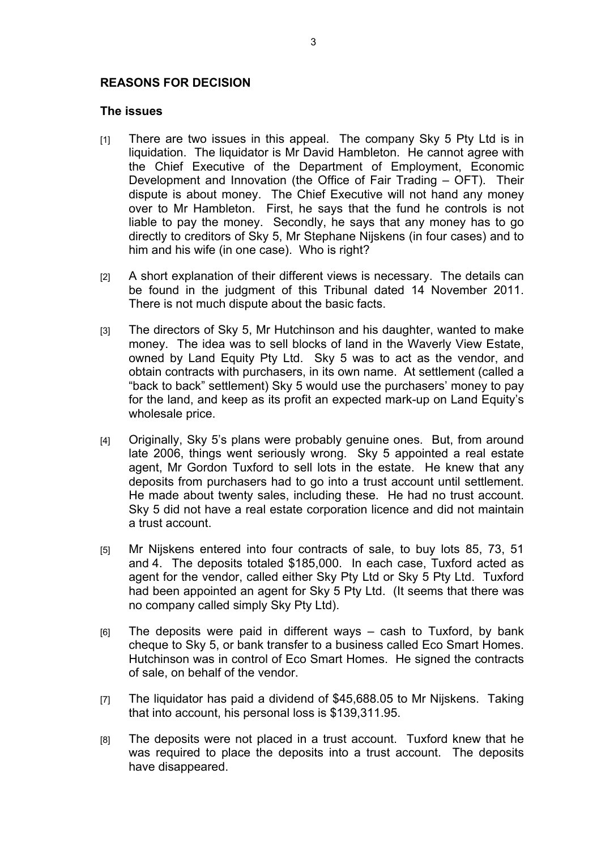## **REASONS FOR DECISION**

## **The issues**

- [1] There are two issues in this appeal. The company Sky 5 Pty Ltd is in liquidation. The liquidator is Mr David Hambleton. He cannot agree with the Chief Executive of the Department of Employment, Economic Development and Innovation (the Office of Fair Trading – OFT). Their dispute is about money. The Chief Executive will not hand any money over to Mr Hambleton. First, he says that the fund he controls is not liable to pay the money. Secondly, he says that any money has to go directly to creditors of Sky 5, Mr Stephane Nijskens (in four cases) and to him and his wife (in one case). Who is right?
- [2] A short explanation of their different views is necessary. The details can be found in the judgment of this Tribunal dated 14 November 2011. There is not much dispute about the basic facts.
- [3] The directors of Sky 5, Mr Hutchinson and his daughter, wanted to make money. The idea was to sell blocks of land in the Waverly View Estate, owned by Land Equity Pty Ltd. Sky 5 was to act as the vendor, and obtain contracts with purchasers, in its own name. At settlement (called a "back to back" settlement) Sky 5 would use the purchasers' money to pay for the land, and keep as its profit an expected mark-up on Land Equity's wholesale price.
- [4] Originally, Sky 5's plans were probably genuine ones. But, from around late 2006, things went seriously wrong. Sky 5 appointed a real estate agent, Mr Gordon Tuxford to sell lots in the estate. He knew that any deposits from purchasers had to go into a trust account until settlement. He made about twenty sales, including these. He had no trust account. Sky 5 did not have a real estate corporation licence and did not maintain a trust account.
- [5] Mr Nijskens entered into four contracts of sale, to buy lots 85, 73, 51 and 4. The deposits totaled \$185,000. In each case, Tuxford acted as agent for the vendor, called either Sky Pty Ltd or Sky 5 Pty Ltd. Tuxford had been appointed an agent for Sky 5 Pty Ltd. (It seems that there was no company called simply Sky Pty Ltd).
- $[6]$  The deposits were paid in different ways cash to Tuxford, by bank cheque to Sky 5, or bank transfer to a business called Eco Smart Homes. Hutchinson was in control of Eco Smart Homes. He signed the contracts of sale, on behalf of the vendor.
- [7] The liquidator has paid a dividend of \$45,688.05 to Mr Nijskens. Taking that into account, his personal loss is \$139,311.95.
- [8] The deposits were not placed in a trust account. Tuxford knew that he was required to place the deposits into a trust account. The deposits have disappeared.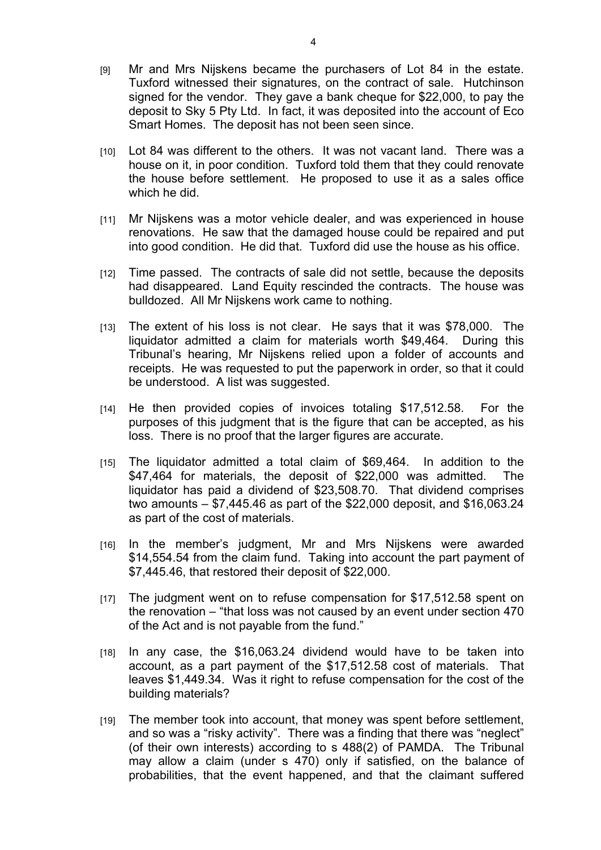- [9] Mr and Mrs Nijskens became the purchasers of Lot 84 in the estate. Tuxford witnessed their signatures, on the contract of sale. Hutchinson signed for the vendor. They gave a bank cheque for \$22,000, to pay the deposit to Sky 5 Pty Ltd. In fact, it was deposited into the account of Eco Smart Homes. The deposit has not been seen since.
- [10] Lot 84 was different to the others. It was not vacant land. There was a house on it, in poor condition. Tuxford told them that they could renovate the house before settlement. He proposed to use it as a sales office which he did.
- [11] Mr Nijskens was a motor vehicle dealer, and was experienced in house renovations. He saw that the damaged house could be repaired and put into good condition. He did that. Tuxford did use the house as his office.
- [12] Time passed. The contracts of sale did not settle, because the deposits had disappeared. Land Equity rescinded the contracts. The house was bulldozed. All Mr Nijskens work came to nothing.
- [13] The extent of his loss is not clear. He says that it was \$78,000. The liquidator admitted a claim for materials worth \$49,464. During this Tribunal's hearing, Mr Nijskens relied upon a folder of accounts and receipts. He was requested to put the paperwork in order, so that it could be understood. A list was suggested.
- [14] He then provided copies of invoices totaling \$17,512.58. For the purposes of this judgment that is the figure that can be accepted, as his loss. There is no proof that the larger figures are accurate.
- [15] The liquidator admitted a total claim of \$69,464. In addition to the \$47,464 for materials, the deposit of \$22,000 was admitted. The liquidator has paid a dividend of \$23,508.70. That dividend comprises two amounts – \$7,445.46 as part of the \$22,000 deposit, and \$16,063.24 as part of the cost of materials.
- [16] In the member's judgment, Mr and Mrs Nijskens were awarded \$14,554.54 from the claim fund. Taking into account the part payment of \$7,445.46, that restored their deposit of \$22,000.
- [17] The judgment went on to refuse compensation for \$17,512.58 spent on the renovation – "that loss was not caused by an event under section 470 of the Act and is not payable from the fund."
- [18] In any case, the \$16,063.24 dividend would have to be taken into account, as a part payment of the \$17,512.58 cost of materials. That leaves \$1,449.34. Was it right to refuse compensation for the cost of the building materials?
- [19] The member took into account, that money was spent before settlement, and so was a "risky activity". There was a finding that there was "neglect" (of their own interests) according to s 488(2) of PAMDA. The Tribunal may allow a claim (under s 470) only if satisfied, on the balance of probabilities, that the event happened, and that the claimant suffered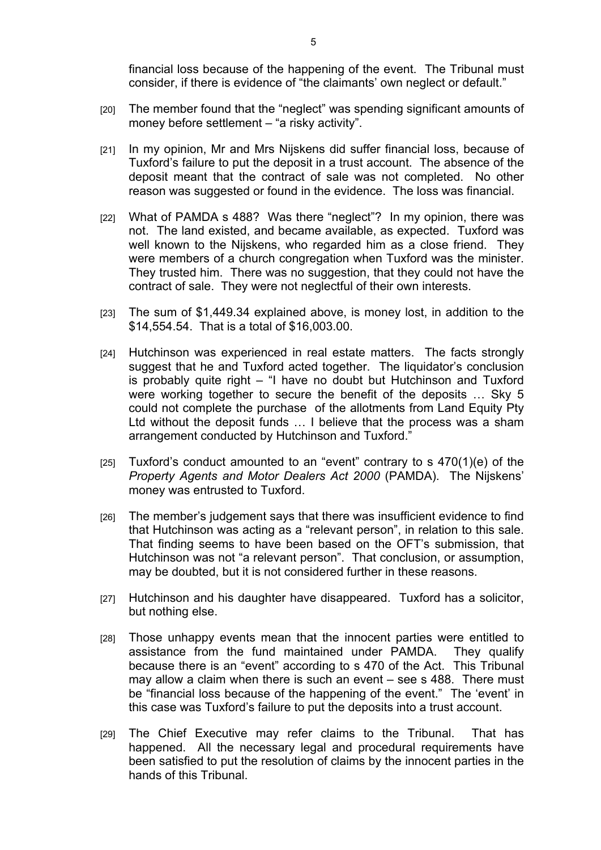financial loss because of the happening of the event. The Tribunal must consider, if there is evidence of "the claimants' own neglect or default."

- [20] The member found that the "neglect" was spending significant amounts of money before settlement – "a risky activity".
- [21] In my opinion, Mr and Mrs Nijskens did suffer financial loss, because of Tuxford's failure to put the deposit in a trust account. The absence of the deposit meant that the contract of sale was not completed. No other reason was suggested or found in the evidence. The loss was financial.
- [22] What of PAMDA s 488? Was there "neglect"? In my opinion, there was not. The land existed, and became available, as expected. Tuxford was well known to the Nijskens, who regarded him as a close friend. They were members of a church congregation when Tuxford was the minister. They trusted him. There was no suggestion, that they could not have the contract of sale. They were not neglectful of their own interests.
- [23] The sum of \$1,449.34 explained above, is money lost, in addition to the \$14,554.54. That is a total of \$16,003.00.
- [24] Hutchinson was experienced in real estate matters. The facts strongly suggest that he and Tuxford acted together. The liquidator's conclusion is probably quite right – "I have no doubt but Hutchinson and Tuxford were working together to secure the benefit of the deposits … Sky 5 could not complete the purchase of the allotments from Land Equity Pty Ltd without the deposit funds … I believe that the process was a sham arrangement conducted by Hutchinson and Tuxford."
- $[25]$  Tuxford's conduct amounted to an "event" contrary to s 470(1)(e) of the *Property Agents and Motor Dealers Act 2000* (PAMDA). The Nijskens' money was entrusted to Tuxford.
- [26] The member's judgement says that there was insufficient evidence to find that Hutchinson was acting as a "relevant person", in relation to this sale. That finding seems to have been based on the OFT's submission, that Hutchinson was not "a relevant person". That conclusion, or assumption, may be doubted, but it is not considered further in these reasons.
- [27] Hutchinson and his daughter have disappeared. Tuxford has a solicitor, but nothing else.
- [28] Those unhappy events mean that the innocent parties were entitled to assistance from the fund maintained under PAMDA. They qualify because there is an "event" according to s 470 of the Act. This Tribunal may allow a claim when there is such an event – see s 488. There must be "financial loss because of the happening of the event." The 'event' in this case was Tuxford's failure to put the deposits into a trust account.
- [29] The Chief Executive may refer claims to the Tribunal. That has happened. All the necessary legal and procedural requirements have been satisfied to put the resolution of claims by the innocent parties in the hands of this Tribunal.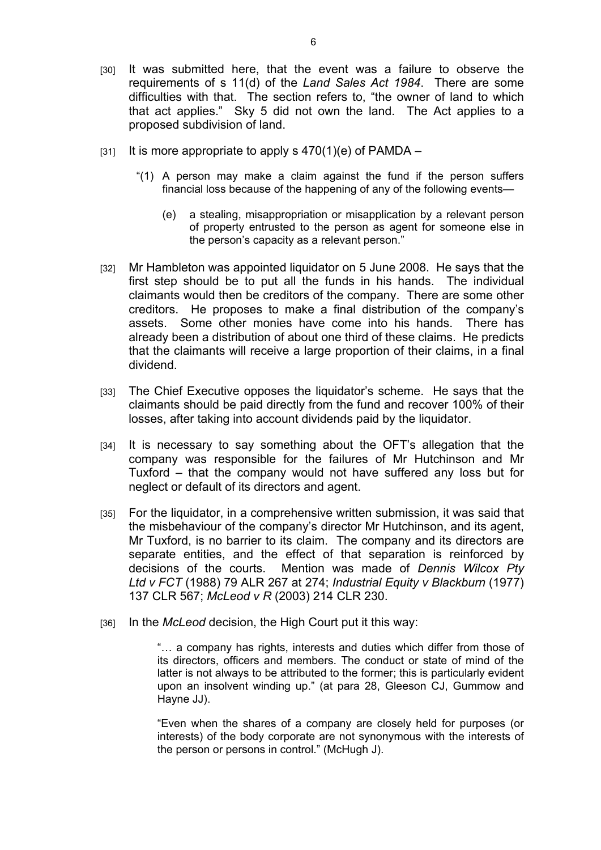- [30] It was submitted here, that the event was a failure to observe the requirements of s 11(d) of the *Land Sales Act 1984*. There are some difficulties with that. The section refers to, "the owner of land to which that act applies." Sky 5 did not own the land. The Act applies to a proposed subdivision of land.
- $[31]$  It is more appropriate to apply s  $470(1)(e)$  of PAMDA
	- "(1) A person may make a claim against the fund if the person suffers financial loss because of the happening of any of the following events—
		- (e) a stealing, misappropriation or misapplication by a relevant person of property entrusted to the person as agent for someone else in the person's capacity as a relevant person."
- [32] Mr Hambleton was appointed liquidator on 5 June 2008. He says that the first step should be to put all the funds in his hands. The individual claimants would then be creditors of the company. There are some other creditors. He proposes to make a final distribution of the company's assets. Some other monies have come into his hands. There has already been a distribution of about one third of these claims. He predicts that the claimants will receive a large proportion of their claims, in a final dividend.
- [33] The Chief Executive opposes the liquidator's scheme. He says that the claimants should be paid directly from the fund and recover 100% of their losses, after taking into account dividends paid by the liquidator.
- [34] It is necessary to say something about the OFT's allegation that the company was responsible for the failures of Mr Hutchinson and Mr Tuxford – that the company would not have suffered any loss but for neglect or default of its directors and agent.
- [35] For the liquidator, in a comprehensive written submission, it was said that the misbehaviour of the company's director Mr Hutchinson, and its agent, Mr Tuxford, is no barrier to its claim. The company and its directors are separate entities, and the effect of that separation is reinforced by decisions of the courts. Mention was made of *Dennis Wilcox Pty Ltd v FCT* (1988) 79 ALR 267 at 274; *Industrial Equity v Blackburn* (1977) 137 CLR 567; *McLeod v R* (2003) 214 CLR 230.
- [36] In the *McLeod* decision, the High Court put it this way:

"… a company has rights, interests and duties which differ from those of its directors, officers and members. The conduct or state of mind of the latter is not always to be attributed to the former; this is particularly evident upon an insolvent winding up." (at para 28, Gleeson CJ, Gummow and Hayne JJ).

"Even when the shares of a company are closely held for purposes (or interests) of the body corporate are not synonymous with the interests of the person or persons in control." (McHugh J).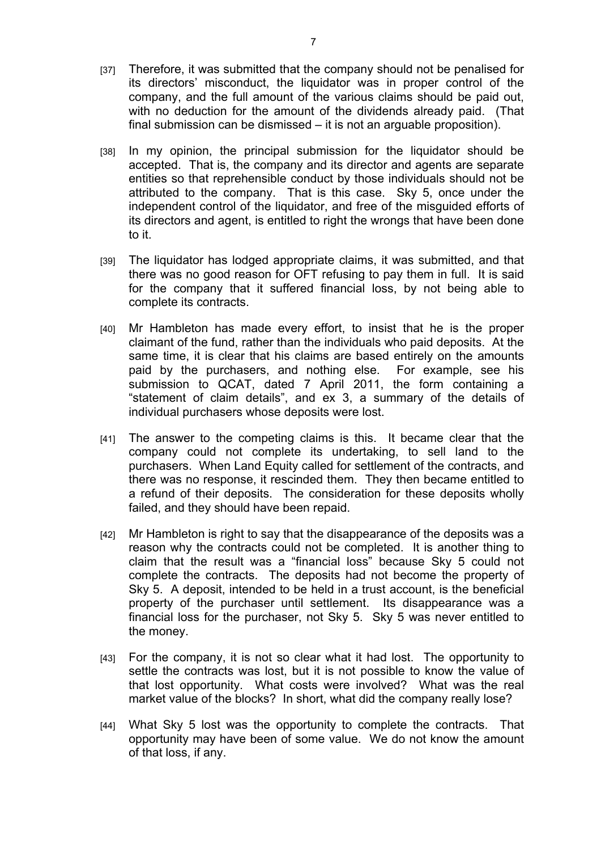- [37] Therefore, it was submitted that the company should not be penalised for its directors' misconduct, the liquidator was in proper control of the company, and the full amount of the various claims should be paid out, with no deduction for the amount of the dividends already paid. (That final submission can be dismissed – it is not an arguable proposition).
- [38] In my opinion, the principal submission for the liquidator should be accepted. That is, the company and its director and agents are separate entities so that reprehensible conduct by those individuals should not be attributed to the company. That is this case. Sky 5, once under the independent control of the liquidator, and free of the misguided efforts of its directors and agent, is entitled to right the wrongs that have been done to it.
- [39] The liquidator has lodged appropriate claims, it was submitted, and that there was no good reason for OFT refusing to pay them in full. It is said for the company that it suffered financial loss, by not being able to complete its contracts.
- [40] Mr Hambleton has made every effort, to insist that he is the proper claimant of the fund, rather than the individuals who paid deposits. At the same time, it is clear that his claims are based entirely on the amounts paid by the purchasers, and nothing else. For example, see his submission to QCAT, dated 7 April 2011, the form containing a "statement of claim details", and ex 3, a summary of the details of individual purchasers whose deposits were lost.
- [41] The answer to the competing claims is this. It became clear that the company could not complete its undertaking, to sell land to the purchasers. When Land Equity called for settlement of the contracts, and there was no response, it rescinded them. They then became entitled to a refund of their deposits. The consideration for these deposits wholly failed, and they should have been repaid.
- [42] Mr Hambleton is right to say that the disappearance of the deposits was a reason why the contracts could not be completed. It is another thing to claim that the result was a "financial loss" because Sky 5 could not complete the contracts. The deposits had not become the property of Sky 5. A deposit, intended to be held in a trust account, is the beneficial property of the purchaser until settlement. Its disappearance was a financial loss for the purchaser, not Sky 5. Sky 5 was never entitled to the money.
- [43] For the company, it is not so clear what it had lost. The opportunity to settle the contracts was lost, but it is not possible to know the value of that lost opportunity. What costs were involved? What was the real market value of the blocks? In short, what did the company really lose?
- [44] What Sky 5 lost was the opportunity to complete the contracts. That opportunity may have been of some value. We do not know the amount of that loss, if any.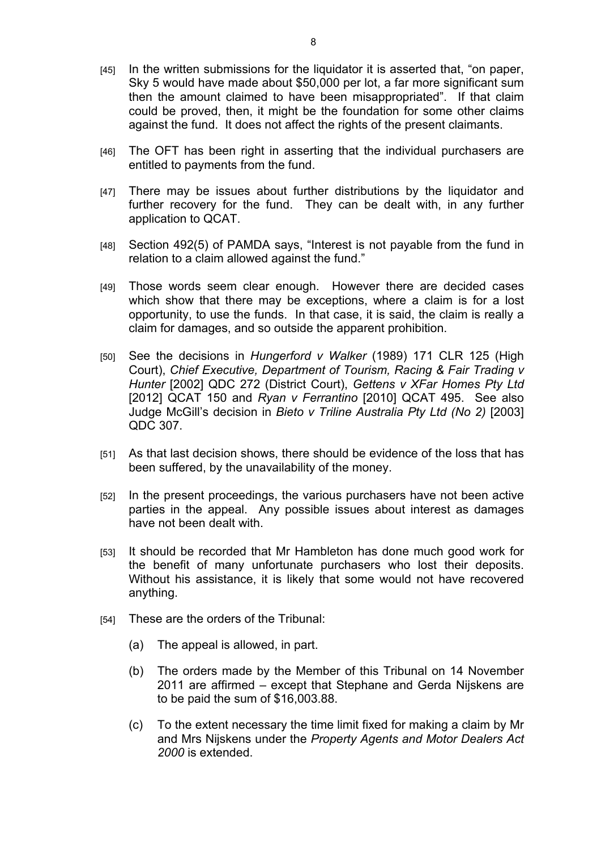- [45] In the written submissions for the liquidator it is asserted that, "on paper, Sky 5 would have made about \$50,000 per lot, a far more significant sum then the amount claimed to have been misappropriated". If that claim could be proved, then, it might be the foundation for some other claims against the fund. It does not affect the rights of the present claimants.
- [46] The OFT has been right in asserting that the individual purchasers are entitled to payments from the fund.
- [47] There may be issues about further distributions by the liquidator and further recovery for the fund. They can be dealt with, in any further application to QCAT.
- [48] Section 492(5) of PAMDA says, "Interest is not payable from the fund in relation to a claim allowed against the fund."
- [49] Those words seem clear enough. However there are decided cases which show that there may be exceptions, where a claim is for a lost opportunity, to use the funds. In that case, it is said, the claim is really a claim for damages, and so outside the apparent prohibition.
- [50] See the decisions in *Hungerford v Walker* (1989) 171 CLR 125 (High Court), *Chief Executive, Department of Tourism, Racing & Fair Trading v Hunter* [2002] QDC 272 (District Court), *Gettens v XFar Homes Pty Ltd* [2012] QCAT 150 and *Ryan v Ferrantino* [2010] QCAT 495. See also Judge McGill's decision in *Bieto v Triline Australia Pty Ltd (No 2)* [2003] QDC 307.
- [51] As that last decision shows, there should be evidence of the loss that has been suffered, by the unavailability of the money.
- [52] In the present proceedings, the various purchasers have not been active parties in the appeal. Any possible issues about interest as damages have not been dealt with.
- [53] It should be recorded that Mr Hambleton has done much good work for the benefit of many unfortunate purchasers who lost their deposits. Without his assistance, it is likely that some would not have recovered anything.
- [54] These are the orders of the Tribunal:
	- (a) The appeal is allowed, in part.
	- (b) The orders made by the Member of this Tribunal on 14 November 2011 are affirmed – except that Stephane and Gerda Nijskens are to be paid the sum of \$16,003.88.
	- (c) To the extent necessary the time limit fixed for making a claim by Mr and Mrs Nijskens under the *Property Agents and Motor Dealers Act 2000* is extended.